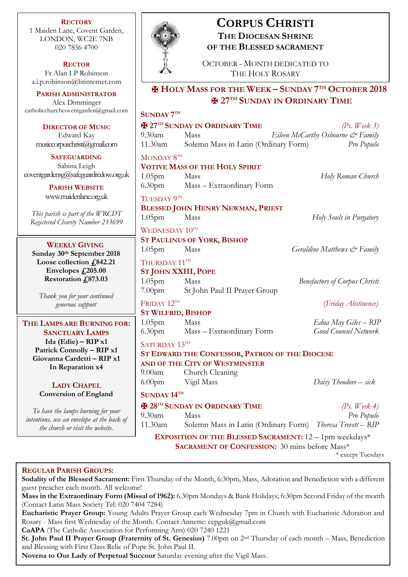**RECTORY** 1 Maiden Lane, Covent Garden, LONDON, WC2E 7NB 020 7836 4700

**RECTOR** Fr Alan I P Robinson [a.i.p.robinson@btinternet.com](mailto:a.i.p.robinson@btinternet.com)

**PARISH ADMINISTRATOR** Alex Dimminger [catholicchurchcoventgarden@gmail.com](mailto:catholicchurchcoventgarden@gmail.com)

**DIRECTOR OF MUSIC** Edward Kay musiccorpuschristi@gmail.com

**SAFEGUARDING** Sabina Leigh [coventgardensg@safeguardrcdow.org.uk](mailto:coventgardensg@safeguardrcdow.org.uk)

> **PARISH WEBSITE** [www.maidenlane.org.uk](http://www.maidenlane.org.uk/)

*This parish is part of the WRCDT Registered Charity Number 233699*

# **WEEKLY GIVING**

**Sunday 30th September 2018 Loose collection £842.21 Envelopes £205.00 Restoration £873.03**

*Thank you for your continued generous support*

**THE LAMPS ARE BURNING FOR: SANCTUARY LAMPS Ida (Edie) – RIP x1 Patrick Connolly – RIP x1 Giovanna Cardetti – RIP x1 In Reparation x4**

# **LADY CHAPEL Conversion of England**

*To have the lamps burning for your intentions, use an envelope at the back of the church or visit the website.*



# **CORPUS CHRISTI THE DIOCESAN SHRINE**

**OF THE BLESSED SACRAMENT**

OCTOBER - MONTH DEDICATED TO THE HOLY ROSARY

# ✠ **HOLY MASS FOR THE WEEK – SUNDAY 7 TH OCTOBER 2018** ✠ **27 TH SUNDAY IN ORDINARY TIME**

|                                                      | SUNDAY 7TH                                     |                                                            |                                      |  |
|------------------------------------------------------|------------------------------------------------|------------------------------------------------------------|--------------------------------------|--|
|                                                      |                                                | <b>E</b> 27TH SUNDAY IN ORDINARY TIME                      | (Ps. Week 3)                         |  |
|                                                      | $9.30$ am                                      | Mass                                                       | Eileen McCarthy Osbourne & Family    |  |
| 11.30am Solemn Mass in Latin (Ordinary Form)         |                                                | Pro Populo                                                 |                                      |  |
|                                                      | MONDAY 8TH                                     |                                                            |                                      |  |
|                                                      | <b>VOTIVE MASS OF THE HOLY SPIRIT</b>          |                                                            |                                      |  |
|                                                      | 1.05 <sub>pm</sub>                             | Mass                                                       | Holy Roman Church                    |  |
|                                                      |                                                | 6.30pm Mass - Extraordinary Form                           |                                      |  |
|                                                      | TUESDAY 9TH                                    |                                                            |                                      |  |
|                                                      | <b>BLESSED JOHN HENRY NEWMAN, PRIEST</b>       |                                                            |                                      |  |
|                                                      | 1.05 <sub>pm</sub>                             | Mass                                                       | Holy Souls in Purgatory              |  |
|                                                      | WEDNESDAY 10TH                                 |                                                            |                                      |  |
|                                                      |                                                | <b>ST PAULINUS OF YORK, BISHOP</b>                         |                                      |  |
|                                                      | 1.05 <sub>pm</sub>                             | Mass                                                       | Geraldine Matthews & Family          |  |
| THURSDAY 11TH<br><b>ST JOHN XXIII, POPE</b>          |                                                |                                                            |                                      |  |
|                                                      |                                                |                                                            |                                      |  |
|                                                      | 1.05pm Mass                                    |                                                            | <b>Benefactors of Corpus Christi</b> |  |
|                                                      |                                                | 7.00pm St John Paul II Prayer Group                        |                                      |  |
|                                                      | FRIDAY 12TH                                    |                                                            | (Friday Abstinence)                  |  |
|                                                      | <b>ST WILFRID, BISHOP</b>                      |                                                            |                                      |  |
|                                                      | 1.05 <sub>pm</sub>                             | Mass                                                       | Edna May Giles – RIP                 |  |
|                                                      | 6.30 <sub>pm</sub>                             | Mass - Extraordinary Form                                  | <b>Good Counsel Network</b>          |  |
|                                                      | SATURDAY 13TH                                  |                                                            |                                      |  |
|                                                      | ST EDWARD THE CONFESSOR, PATRON OF THE DIOCESE |                                                            |                                      |  |
|                                                      |                                                | AND OF THE CITY OF WESTMINSTER                             |                                      |  |
|                                                      |                                                | 9.00am Church Cleaning                                     |                                      |  |
|                                                      |                                                | 6.00pm Vigil Mass                                          | Daisy Theodore – sick                |  |
|                                                      |                                                | SUNDAY 14TH                                                |                                      |  |
|                                                      |                                                | <b>H</b> 28 <sup>TH</sup> SUNDAY IN ORDINARY TIME          | (Ps. Week 4)                         |  |
|                                                      | $9.30$ am                                      | Mass                                                       | Pro Populo                           |  |
|                                                      | 11.30am                                        | Solemn Mass in Latin (Ordinary Form) Theresa Trevett - RIP |                                      |  |
|                                                      |                                                | EXPOSITION OF THE BLESSED SACRAMENT: 12 - 1pm weekdays*    |                                      |  |
| <b>SACRAMENT OF CONFESSION:</b> 30 mins before Mass* |                                                |                                                            |                                      |  |

\* except Tuesdays

# **REGULAR PARISH GROUPS:**

**Sodality of the Blessed Sacrament:** First Thursday of the Month, 6:30pm, Mass, Adoration and Benediction with a different guest preacher each month. All welcome!

**Mass in the Extraordinary Form (Missal of 1962):** 6.30pm Mondays & Bank Holidays; 6:30pm Second Friday of the month (Contact Latin Mass Society Tel: 020 7404 7284)

**Eucharistic Prayer Group:** Young Adults Prayer Group each Wednesday 7pm in Church with Eucharistic Adoration and Rosary - Mass first Wednesday of the Month. Contact Annette: ccpguk@gmail.com

**CaAPA** (The Catholic Association for Performing Arts) 020 7240 1221

**St. John Paul II Prayer Group (Fraternity of St. Genesius)** 7.00pm on 2nd Thursday of each month – Mass, Benediction and Blessing with First Class Relic of Pope St. John Paul II.

**Novena to Our Lady of Perpetual Succour** Saturday evening after the Vigil Mass.